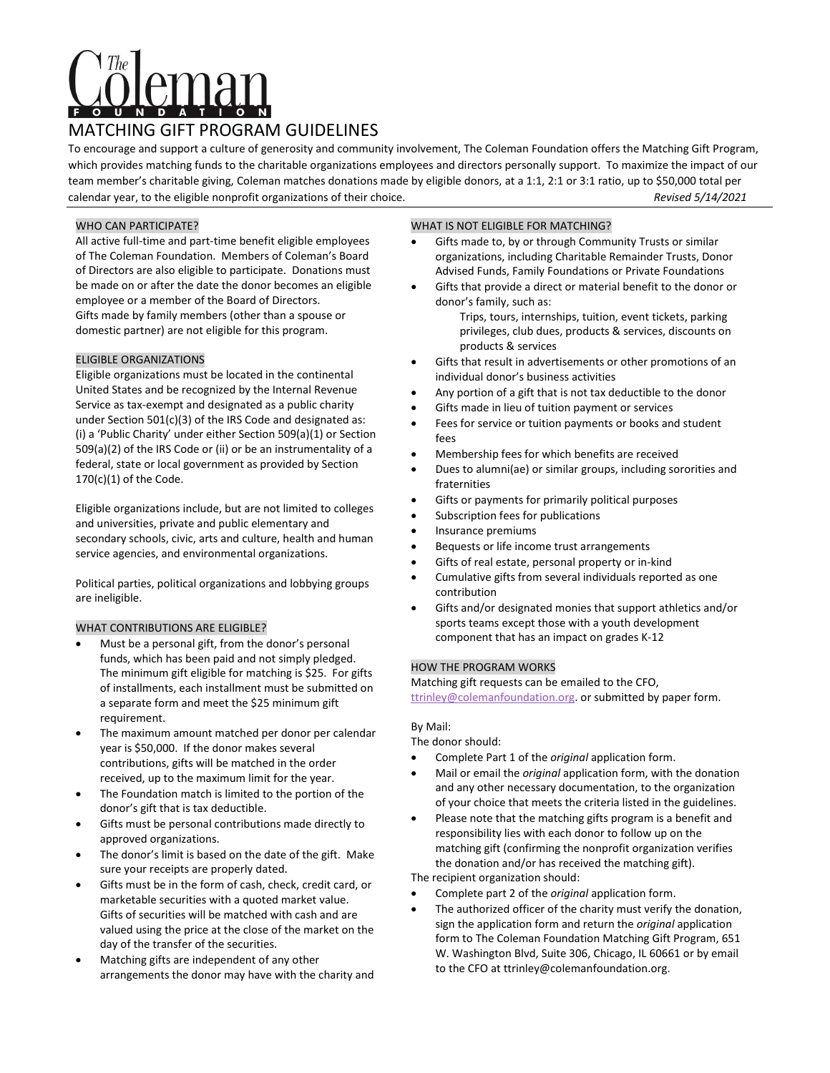# MATCHING GIFT PROGRAM GUIDELINES

To encourage and support a culture of generosity and community involvement, The Coleman Foundation offers the Matching Gift Program, which provides matching funds to the charitable organizations employees and directors personally support. To maximize the impact of our team member's charitable giving, Coleman matches donations made by eligible donors, at a 1:1, 2:1 or 3:1 ratio, up to \$50,000 total per calendar year, to the eligible nonprofit organizations of their choice. *Revised 5/14/2021*

## WHO CAN PARTICIPATE?

All active full-time and part-time benefit eligible employees of The Coleman Foundation. Members of Coleman's Board of Directors are also eligible to participate. Donations must be made on or after the date the donor becomes an eligible employee or a member of the Board of Directors. Gifts made by family members (other than a spouse or domestic partner) are not eligible for this program.

## ELIGIBLE ORGANIZATIONS

Eligible organizations must be located in the continental United States and be recognized by the Internal Revenue Service as tax-exempt and designated as a public charity under Section 501(c)(3) of the IRS Code and designated as: (i) a 'Public Charity' under either Section 509(a)(1) or Section 509(a)(2) of the IRS Code or (ii) or be an instrumentality of a federal, state or local government as provided by Section 170(c)(1) of the Code.

Eligible organizations include, but are not limited to colleges and universities, private and public elementary and secondary schools, civic, arts and culture, health and human service agencies, and environmental organizations.

Political parties, political organizations and lobbying groups are ineligible.

## WHAT CONTRIBUTIONS ARE ELIGIBLE?

- Must be a personal gift, from the donor's personal funds, which has been paid and not simply pledged. The minimum gift eligible for matching is \$25. For gifts of installments, each installment must be submitted on a separate form and meet the \$25 minimum gift requirement.
- The maximum amount matched per donor per calendar year is \$50,000. If the donor makes several contributions, gifts will be matched in the order received, up to the maximum limit for the year.
- The Foundation match is limited to the portion of the donor's gift that is tax deductible.
- Gifts must be personal contributions made directly to approved organizations.
- The donor's limit is based on the date of the gift. Make sure your receipts are properly dated.
- Gifts must be in the form of cash, check, credit card, or marketable securities with a quoted market value. Gifts of securities will be matched with cash and are valued using the price at the close of the market on the day of the transfer of the securities.
- Matching gifts are independent of any other arrangements the donor may have with the charity and

## WHAT IS NOT ELIGIBLE FOR MATCHING?

- Gifts made to, by or through Community Trusts or similar organizations, including Charitable Remainder Trusts, Donor Advised Funds, Family Foundations or Private Foundations
- Gifts that provide a direct or material benefit to the donor or donor's family, such as:

Trips, tours, internships, tuition, event tickets, parking privileges, club dues, products & services, discounts on products & services

- Gifts that result in advertisements or other promotions of an individual donor's business activities
- Any portion of a gift that is not tax deductible to the donor
- Gifts made in lieu of tuition payment or services
- Fees for service or tuition payments or books and student fees
- Membership fees for which benefits are received
- Dues to alumni(ae) or similar groups, including sororities and fraternities
- Gifts or payments for primarily political purposes
- Subscription fees for publications
- Insurance premiums
- Bequests or life income trust arrangements
- Gifts of real estate, personal property or in-kind
- Cumulative gifts from several individuals reported as one contribution
- Gifts and/or designated monies that support athletics and/or sports teams except those with a youth development component that has an impact on grades K-12

### HOW THE PROGRAM WORKS

Matching gift requests can be emailed to the CFO, [ttrinley@colemanfoundation.org.](mailto:ttrinley@colemanfoundation.org) or submitted by paper form.

## By Mail:

The donor should:

• Complete Part 1 of the *original* application form.

- Mail or email the *original* application form, with the donation and any other necessary documentation, to the organization of your choice that meets the criteria listed in the guidelines.
- Please note that the matching gifts program is a benefit and responsibility lies with each donor to follow up on the matching gift (confirming the nonprofit organization verifies the donation and/or has received the matching gift).

The recipient organization should:

- Complete part 2 of the *original* application form.
- The authorized officer of the charity must verify the donation, sign the application form and return the *original* application form to The Coleman Foundation Matching Gift Program, 651 W. Washington Blvd, Suite 306, Chicago, IL 60661 or by email to the CFO at ttrinley@colemanfoundation.org.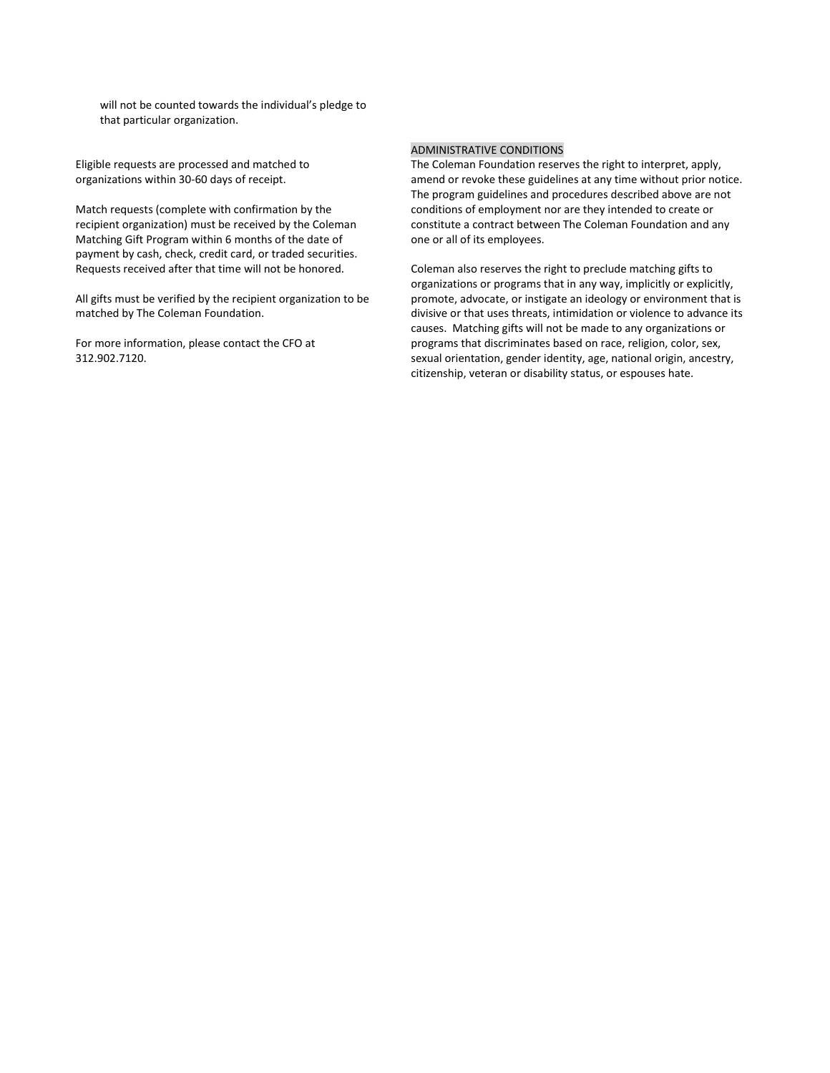will not be counted towards the individual's pledge to that particular organization.

Eligible requests are processed and matched to organizations within 30-60 days of receipt.

Match requests (complete with confirmation by the recipient organization) must be received by the Coleman Matching Gift Program within 6 months of the date of payment by cash, check, credit card, or traded securities. Requests received after that time will not be honored.

All gifts must be verified by the recipient organization to be matched by The Coleman Foundation.

For more information, please contact the CFO at 312.902.7120.

## ADMINISTRATIVE CONDITIONS

The Coleman Foundation reserves the right to interpret, apply, amend or revoke these guidelines at any time without prior notice. The program guidelines and procedures described above are not conditions of employment nor are they intended to create or constitute a contract between The Coleman Foundation and any one or all of its employees.

Coleman also reserves the right to preclude matching gifts to organizations or programs that in any way, implicitly or explicitly, promote, advocate, or instigate an ideology or environment that is divisive or that uses threats, intimidation or violence to advance its causes. Matching gifts will not be made to any organizations or programs that discriminates based on race, religion, color, sex, sexual orientation, gender identity, age, national origin, ancestry, citizenship, veteran or disability status, or espouses hate.